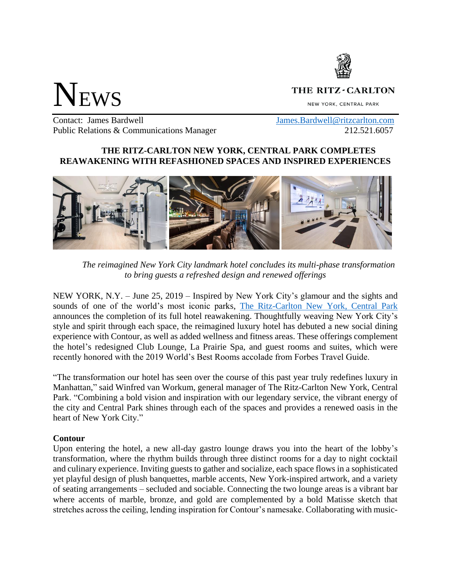

# NEWS

# THE RITZ-CARLTON

NEW YORK, CENTRAL PARK

Contact: James Bardwell [James.Bardwell@ritzcarlton.com](mailto:James.Bardwell@ritzcarlton.com) Public Relations & Communications Manager 212.521.6057

# **THE RITZ-CARLTON NEW YORK, CENTRAL PARK COMPLETES REAWAKENING WITH REFASHIONED SPACES AND INSPIRED EXPERIENCES**



*The reimagined New York City landmark hotel concludes its multi-phase transformation to bring guests a refreshed design and renewed offerings*

NEW YORK, N.Y. – June 25, 2019 – Inspired by New York City's glamour and the sights and sounds of one of the world's most iconic parks, [The Ritz-Carlton New York, Central Park](http://ritzcarlton.com/centralpark) announces the completion of its full hotel reawakening. Thoughtfully weaving New York City's style and spirit through each space, the reimagined luxury hotel has debuted a new social dining experience with Contour, as well as added wellness and fitness areas. These offerings complement the hotel's redesigned Club Lounge, La Prairie Spa, and guest rooms and suites, which were recently honored with the 2019 World's Best Rooms accolade from Forbes Travel Guide.

"The transformation our hotel has seen over the course of this past year truly redefines luxury in Manhattan," said Winfred van Workum, general manager of The Ritz-Carlton New York, Central Park. "Combining a bold vision and inspiration with our legendary service, the vibrant energy of the city and Central Park shines through each of the spaces and provides a renewed oasis in the heart of New York City."

## **Contour**

Upon entering the hotel, a new all-day gastro lounge draws you into the heart of the lobby's transformation, where the rhythm builds through three distinct rooms for a day to night cocktail and culinary experience. Inviting guests to gather and socialize, each space flows in a sophisticated yet playful design of plush banquettes, marble accents, New York-inspired artwork, and a variety of seating arrangements – secluded and sociable. Connecting the two lounge areas is a vibrant bar where accents of marble, bronze, and gold are complemented by a bold Matisse sketch that stretches across the ceiling, lending inspiration for Contour's namesake. Collaborating with music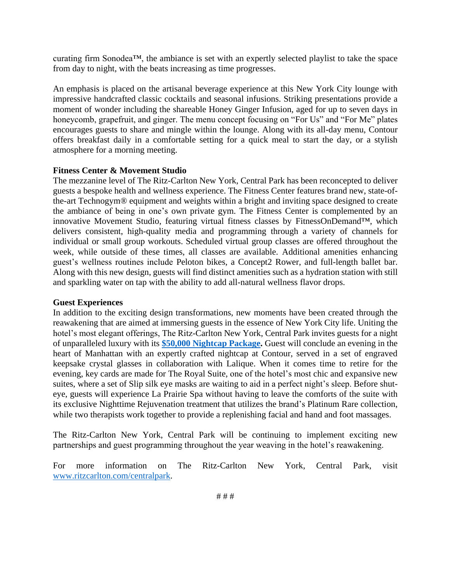curating firm Sonodea™, the ambiance is set with an expertly selected playlist to take the space from day to night, with the beats increasing as time progresses.

An emphasis is placed on the artisanal beverage experience at this New York City lounge with impressive handcrafted classic cocktails and seasonal infusions. Striking presentations provide a moment of wonder including the shareable Honey Ginger Infusion, aged for up to seven days in honeycomb, grapefruit, and ginger. The menu concept focusing on "For Us" and "For Me" plates encourages guests to share and mingle within the lounge. Along with its all-day menu, Contour offers breakfast daily in a comfortable setting for a quick meal to start the day, or a stylish atmosphere for a morning meeting.

#### **Fitness Center & Movement Studio**

The mezzanine level of The Ritz-Carlton New York, Central Park has been reconcepted to deliver guests a bespoke health and wellness experience. The Fitness Center features brand new, state-ofthe-art Technogym® equipment and weights within a bright and inviting space designed to create the ambiance of being in one's own private gym. The Fitness Center is complemented by an innovative Movement Studio, featuring virtual fitness classes by FitnessOnDemand™, which delivers consistent, high-quality media and programming through a variety of channels for individual or small group workouts. Scheduled virtual group classes are offered throughout the week, while outside of these times, all classes are available. Additional amenities enhancing guest's wellness routines include Peloton bikes, a Concept2 Rower, and full-length ballet bar. Along with this new design, guests will find distinct amenities such as a hydration station with still and sparkling water on tap with the ability to add all-natural wellness flavor drops.

#### **Guest Experiences**

In addition to the exciting design transformations, new moments have been created through the reawakening that are aimed at immersing guests in the essence of New York City life. Uniting the hotel's most elegant offerings, The Ritz-Carlton New York, Central Park invites guests for a night of unparalleled luxury with its **[\\$50,000 Nightcap Package.](http://www.ritzcarlton.com/en/hotels/new-york/central-park/offers/nightcap)** Guest will conclude an evening in the heart of Manhattan with an expertly crafted nightcap at Contour, served in a set of engraved keepsake crystal glasses in collaboration with Lalique. When it comes time to retire for the evening, key cards are made for The Royal Suite, one of the hotel's most chic and expansive new suites, where a set of Slip silk eye masks are waiting to aid in a perfect night's sleep. Before shuteye, guests will experience La Prairie Spa without having to leave the comforts of the suite with its exclusive Nighttime Rejuvenation treatment that utilizes the brand's Platinum Rare collection, while two therapists work together to provide a replenishing facial and hand and foot massages.

The Ritz-Carlton New York, Central Park will be continuing to implement exciting new partnerships and guest programming throughout the year weaving in the hotel's reawakening.

For more information on The Ritz-Carlton New York, Central Park, visit [www.ritzcarlton.com/centralpark.](http://www.ritzcarlton.com/centralpark)